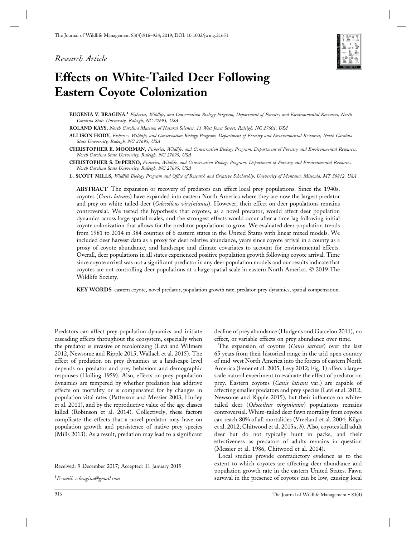## *Research Article*



# **Effects on White-Tailed Deer Following Eastern Coyote Colonization**

**EUGENIA V. BRAGINA,1** *Fisheries, Wildlife, and Conservation Biology Program, Department of Forestry and Environmental Resources, North Carolina State University, Raleigh, NC 27695, USA*

**ROLAND KAYS,** *North Carolina Museum of Natural Sciences, 11 West Jones Street, Raleigh, NC 27601, USA*

**ALLISON HODY,** *Fisheries, Wildlife, and Conservation Biology Program, Department of Forestry and Environmental Resources, North Carolina State University, Raleigh, NC 27695, USA*

**CHRISTOPHER E. MOORMAN,** *Fisheries, Wildlife, and Conservation Biology Program, Department of Forestry and Environmental Resources, North Carolina State University, Raleigh, NC 27695, USA*

**CHRISTOPHER S. DEPERNO,** *Fisheries, Wildlife, and Conservation Biology Program, Department of Forestry and Environmental Resources, North Carolina State University, Raleigh, NC 27695, USA*

**L. SCOTT MILLS,** *Wildlife Biology Program and Office of Research and Creative Scholarship, University of Montana, Missoula, MT 59812, USA*

**ABSTRACT** The expansion or recovery of predators can affect local prey populations. Since the 1940s, coyotes (*Canis latrans*) have expanded into eastern North America where they are now the largest predator and prey on white-tailed deer (*Odocoileus virginianus*). However, their effect on deer populations remains controversial. We tested the hypothesis that coyotes, as a novel predator, would affect deer population dynamics across large spatial scales, and the strongest effects would occur after a time lag following initial coyote colonization that allows for the predator populations to grow. We evaluated deer population trends from 1981 to 2014 in 384 counties of 6 eastern states in the United States with linear mixed models. We included deer harvest data as a proxy for deer relative abundance, years since coyote arrival in a county as a proxy of coyote abundance, and landscape and climate covariates to account for environmental effects. Overall, deer populations in all states experienced positive population growth following coyote arrival. Time since coyote arrival was not a significant predictor in any deer population models and our results indicate that coyotes are not controlling deer populations at a large spatial scale in eastern North America. © 2019 The Wildlife Society.

**KEY WORDS** eastern coyote, novel predator, population growth rate, predator-prey dynamics, spatial compensation.

Predators can affect prey population dynamics and initiate cascading effects throughout the ecosystem, especially when the predator is invasive or recolonizing (Levi and Wilmers 2012, Newsome and Ripple 2015, Wallach et al. 2015). The effect of predation on prey dynamics at a landscape level depends on predator and prey behaviors and demographic responses (Holling 1959). Also, effects on prey population dynamics are tempered by whether predation has additive effects on mortality or is compensated for by changes in population vital rates (Patterson and Messier 2003, Hurley et al. 2011), and by the reproductive value of the age classes killed (Robinson et al. 2014). Collectively, these factors complicate the effects that a novel predator may have on population growth and persistence of native prey species (Mills 2013). As a result, predation may lead to a significant

Received: 9 December 2017; Accepted: 11 January 2019

1 *E-mail: e.bragina@gmail.com*

decline of prey abundance (Hudgens and Garcelon 2011), no effect, or variable effects on prey abundance over time.

The expansion of coyotes (*Canis latrans*) over the last 65 years from their historical range in the arid open country of mid-west North America into the forests of eastern North America (Fener et al. 2005, Levy 2012; Fig. 1) offers a largescale natural experiment to evaluate the effect of predator on prey. Eastern coyotes (*Canis latrans* var.) are capable of affecting smaller predators and prey species (Levi et al. 2012, Newsome and Ripple 2015), but their influence on whitetailed deer (*Odocoileus virginianus*) populations remains controversial. White-tailed deer fawn mortality from coyotes can reach 80% of all mortalities (Vreeland et al. 2004; Kilgo et al. 2012; Chitwood et al. 2015*a*, *b*). Also, coyotes kill adult deer but do not typically hunt in packs, and their effectiveness as predators of adults remains in question (Messier et al. 1986, Chitwood et al. 2014).

Local studies provide contradictory evidence as to the extent to which coyotes are affecting deer abundance and population growth rate in the eastern United States. Fawn survival in the presence of coyotes can be low, causing local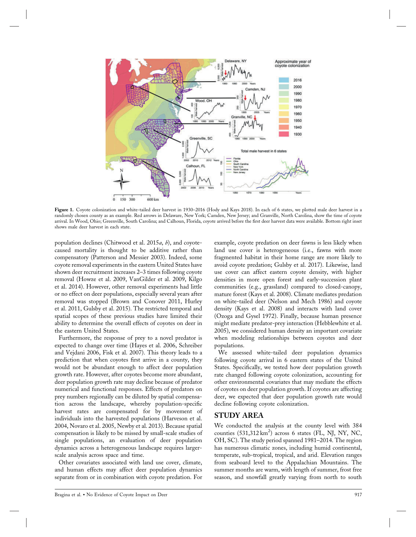

Figure 1. Coyote colonization and white-tailed deer harvest in 1930–2016 (Hody and Kays 2018). In each of 6 states, we plotted male deer harvest in a randomly chosen county as an example. Red arrows in Delaware, New York; Camden, New Jersey; and Granville, North Carolina, show the time of coyote arrival. In Wood, Ohio; Greenville, South Carolina; and Calhoun, Florida, coyote arrived before the first deer harvest data were available. Bottom right inset shows male deer harvest in each state.

population declines (Chitwood et al. 2015*a*, *b*), and coyotecaused mortality is thought to be additive rather than compensatory (Patterson and Messier 2003). Indeed, some coyote removal experiments in the eastern United States have shown deer recruitment increases 2–3 times following coyote removal (Howze et al. 2009, VanGilder et al. 2009, Kilgo et al. 2014). However, other removal experiments had little or no effect on deer populations, especially several years after removal was stopped (Brown and Conover 2011, Hurley et al. 2011, Gulsby et al. 2015). The restricted temporal and spatial scopes of these previous studies have limited their ability to determine the overall effects of coyotes on deer in the eastern United States.

Furthermore, the response of prey to a novel predator is expected to change over time (Hayes et al. 2006, Schreiber and Vejdani 2006, Fisk et al. 2007). This theory leads to a prediction that when coyotes first arrive in a county, they would not be abundant enough to affect deer population growth rate. However, after coyotes become more abundant, deer population growth rate may decline because of predator numerical and functional responses. Effects of predators on prey numbers regionally can be diluted by spatial compensation across the landscape, whereby population-specific harvest rates are compensated for by movement of individuals into the harvested populations (Harveson et al. 2004, Novaro et al. 2005, Newby et al. 2013). Because spatial compensation is likely to be missed by small-scale studies of single populations, an evaluation of deer population dynamics across a heterogeneous landscape requires largerscale analysis across space and time.

Other covariates associated with land use cover, climate, and human effects may affect deer population dynamics separate from or in combination with coyote predation. For example, coyote predation on deer fawns is less likely when land use cover is heterogeneous (i.e., fawns with more fragmented habitat in their home range are more likely to avoid coyote predation; Gulsby et al. 2017). Likewise, land use cover can affect eastern coyote density, with higher densities in more open forest and early-succession plant communities (e.g., grassland) compared to closed-canopy, mature forest (Kays et al. 2008). Climate mediates predation on white-tailed deer (Nelson and Mech 1986) and coyote density (Kays et al. 2008) and interacts with land cover (Ozoga and Gysel 1972). Finally, because human presence might mediate predator-prey interaction (Hebblewhite et al. 2005), we considered human density an important covariate when modeling relationships between coyotes and deer populations.

We assessed white-tailed deer population dynamics following coyote arrival in 6 eastern states of the United States. Specifically, we tested how deer population growth rate changed following coyote colonization, accounting for other environmental covariates that may mediate the effects of coyotes on deer population growth. If coyotes are affecting deer, we expected that deer population growth rate would decline following coyote colonization.

## **STUDY AREA**

We conducted the analysis at the county level with 384 counties  $(531,312 \text{ km}^2)$  across 6 states (FL, NJ, NY, NC, OH, SC). The study period spanned 1981–2014. The region has numerous climatic zones, including humid continental, temperate, sub-tropical, tropical, and arid. Elevation ranges from seaboard level to the Appalachian Mountains. The summer months are warm, with length of summer, frost free season, and snowfall greatly varying from north to south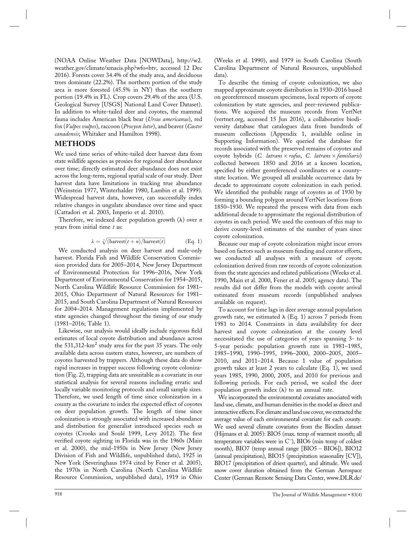(NOAA Online Weather Data [NOWData], http://w2. weather.gov/climate/xmacis.php?wfo=btv, accessed 12 Dec 2016). Forests cover 34.4% of the study area, and deciduous trees dominate (22.2%). The northern portion of the study area is more forested (45.5% in NY) than the southern portion (19.4% in FL). Crop covers 29.4% of the area (U.S. Geological Survey [USGS] National Land Cover Dataset). In addition to white-tailed deer and coyotes, the mammal fauna includes American black bear (*Ursus americanus*), red fox (*Vulpes vulpes*), raccoon (*Procyon lotor*), and beaver (*Castor canadensis*; Whitaker and Hamilton 1998).

## **METHODS**

We used time series of white-tailed deer harvest data from state wildlife agencies as proxies for regional deer abundance over time; directly estimated deer abundance does not exist across the long-term, regional spatial scale of our study. Deer harvest data have limitations in tracking true abundance (Weinstein 1977, Winterhalder 1980, Lambin et al. 1999). Widespread harvest data, however, can successfully index relative changes in ungulate abundance over time and space (Cattadori et al. 2003, Imperio et al. 2010).

Therefore, we indexed deer population growth  $(\lambda)$  over *n* years from initial time *t* as:

$$
\lambda = \sqrt[n]{(\text{harvest}(t+n)/\text{harvest}(t))}
$$
 (Eq. 1)

We conducted analysis on deer harvest and male-only harvest. Florida Fish and Wildlife Conservation Commission provided data for 2005–2014, New Jersey Department of Environmental Protection for 1996–2016, New York Department of Environmental Conservation for 1954–2015, North Carolina Wildlife Resource Commission for 1981– 2015, Ohio Department of Natural Resources for 1981– 2015, and South Carolina Department of Natural Resources for 2004–2014. Management regulations implemented by state agencies changed throughout the timing of our study (1981–2016; Table 1).

Likewise, our analysis would ideally include rigorous field estimates of local coyote distribution and abundance across the 531,312-km<sup>2</sup> study area for the past 35 years. The only available data across eastern states, however, are numbers of coyotes harvested by trappers. Although these data do show rapid increases in trapper success following coyote colonization (Fig. 2), trapping data are unsuitable as a covariate in our statistical analysis for several reasons including erratic and locally variable monitoring protocols and small sample sizes. Therefore, we used length of time since colonization in a county as the covariate to index the expected effect of coyotes on deer population growth. The length of time since colonization is strongly associated with increased abundance and distribution for generalist introduced species such as coyotes (Crooks and Soulé 1999, Levy 2012). The first verified coyote sighting in Florida was in the 1960s (Main et al. 2000), the mid-1950s in New Jersey (New Jersey Division of Fish and Wildlife, unpublished data), 1925 in New York (Severinghaus 1974 cited by Fener et al. 2005), the 1970s in North Carolina (North Carolina Wildlife Resource Commission, unpublished data), 1919 in Ohio

(Weeks et al. 1990), and 1979 in South Carolina (South Carolina Department of Natural Resources, unpublished data).

To describe the timing of coyote colonization, we also mapped approximate coyote distribution in 1930–2016 based on georeferenced museum specimens, local reports of coyote colonization by state agencies, and peer-reviewed publications. We acquired the museum records from VertNet (vertnet.org, accessed 15 Jun 2016), a collaborative biodiversity database that catalogues data from hundreds of museum collections (Appendix 1, available online in Supporting Information). We queried the database for records associated with the preserved remains of coyotes and coyote hybrids (*C. latrans rufus*, *C. latrans familiaris*) collected between 1850 and 2016 at a known location, specified by either georeferenced coordinates or a countystate location. We grouped all available occurrence data by decade to approximate coyote colonization in each period. We identified the probable range of coyotes as of 1930 by forming a bounding polygon around VertNet locations from 1850–1930. We repeated the process with data from each additional decade to approximate the regional distribution of coyotes in each period. We used the contours of this map to derive county-level estimates of the number of years since coyote colonization.

Because our map of coyote colonization might incur errors based on factors such as museum funding and curator efforts, we conducted all analyses with a measure of coyote colonization derived from raw records of coyote colonization from the state agencies and related publications (Weeks et al. 1990, Main et al. 2000, Fener et al. 2005; agency data). The results did not differ from the models with coyote arrival estimated from museum records (unpublished analyses available on request).

To account for time lags in deer average annual population growth rate, we estimated  $\lambda$  (Eq. 1) across 7 periods from 1981 to 2014. Constraints in data availability for deer harvest and coyote colonization at the county level necessitated the use of categories of years spanning 3- to 5-year periods: population growth rate in 1981–1985, 1985–1990, 1990–1995, 1996–2000, 2000–2005, 2005– 2010, and 2011–2014. Because 1 value of population growth takes at least 2 years to calculate (Eq. 1), we used years 1985, 1990, 2000, 2005, and 2010 for previous and following periods. For each period, we scaled the deer population growth index  $(\lambda)$  to an annual rate.

We incorporated the environmental covariates associated with land use, climate, and human densities in the model as direct and interactive effects. For climate and land use cover, we extracted the average value of each environmental covariate for each county. We used several climate covariates from the Bioclim dataset (Hijmans et al. 2005): BIO5 (max. temp of warmest month; all temperature variables were in  $C^{\circ}$ ), BIO6 (min temp of coldest month), BIO7 (temp annual range  $[BIO5 - BIO6]$ ), BIO12 (annual precipitation), BIO15 (precipitation seasonality [CV]), BIO17 (precipitation of driest quarter), and altitude. We used snow cover duration obtained from the German Aerospace Center (German Remote Sensing Data Center, www.DLR.de/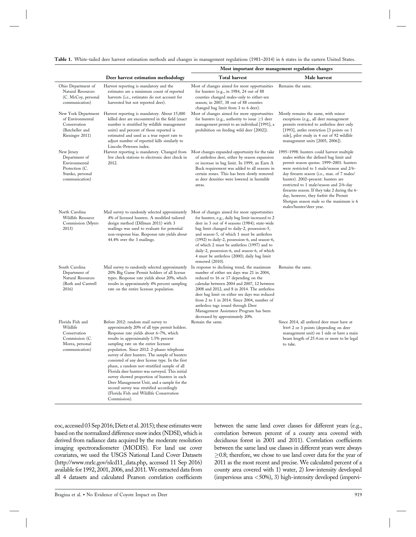|  |  |  |  |  |  |  | Table 1. White-tailed deer harvest estimation methods and changes in management regulations (1981-2014) in 6 states in the eastern United States. |  |
|--|--|--|--|--|--|--|---------------------------------------------------------------------------------------------------------------------------------------------------|--|
|--|--|--|--|--|--|--|---------------------------------------------------------------------------------------------------------------------------------------------------|--|

|                                                                                                      |                                                                                                                                                                                                                                                                                                                                                                                                                                                                                                                                                                                                                                                                          | Most important deer management regulation changes<br>Total harvest<br>Male harvest<br>Most of changes aimed for more opportunities<br>Remains the same.<br>for hunters (e.g., in 1984, 24 out of 88<br>counties changed males-only to either-sex<br>season; in 2007, 38 out of 88 counties<br>changed bag limit from 3 to 6 deer).                                                                                                                                       |                                                                                                                                                                                                                                                                                                                                                                                                                                                                             |  |  |  |
|------------------------------------------------------------------------------------------------------|--------------------------------------------------------------------------------------------------------------------------------------------------------------------------------------------------------------------------------------------------------------------------------------------------------------------------------------------------------------------------------------------------------------------------------------------------------------------------------------------------------------------------------------------------------------------------------------------------------------------------------------------------------------------------|--------------------------------------------------------------------------------------------------------------------------------------------------------------------------------------------------------------------------------------------------------------------------------------------------------------------------------------------------------------------------------------------------------------------------------------------------------------------------|-----------------------------------------------------------------------------------------------------------------------------------------------------------------------------------------------------------------------------------------------------------------------------------------------------------------------------------------------------------------------------------------------------------------------------------------------------------------------------|--|--|--|
|                                                                                                      | Deer harvest estimation methodology                                                                                                                                                                                                                                                                                                                                                                                                                                                                                                                                                                                                                                      |                                                                                                                                                                                                                                                                                                                                                                                                                                                                          |                                                                                                                                                                                                                                                                                                                                                                                                                                                                             |  |  |  |
| Ohio Department of<br>Natural Resources<br>(C. McCoy, personal<br>communication)                     | Harvest reporting is mandatory and the<br>estimates are a minimum count of reported<br>harvests (i.e., estimates do not account for<br>harvested but not reported deer).                                                                                                                                                                                                                                                                                                                                                                                                                                                                                                 |                                                                                                                                                                                                                                                                                                                                                                                                                                                                          |                                                                                                                                                                                                                                                                                                                                                                                                                                                                             |  |  |  |
| of Environmental<br>Conservation<br>(Batcheller and<br>Riexinger 2011)                               | New York Department Harvest reporting is mandatory. About 15,000<br>killed deer are encountered in the field (exact<br>number is stratified by wildlife management<br>units) and percent of those reported is<br>estimated and used as a true report rate to<br>adjust number of reported kills similarly to<br>Lincoln-Petersen index.                                                                                                                                                                                                                                                                                                                                  | Most of changes aimed for more opportunities<br>for hunters (e.g., authority to issue $\geq 1$ deer<br>management permit to an individual [1991], a<br>prohibition on feeding wild deer [2002]).                                                                                                                                                                                                                                                                         | Mostly remains the same, with minor<br>exceptions (e.g., all deer management<br>permits restricted to antlerless deer only<br>[1993], antler restriction [3 points on 1<br>side], pilot study in 4 out of 92 wildlife<br>management units [2005, 2006]).                                                                                                                                                                                                                    |  |  |  |
| New Jersey<br>Department of<br>Environmental<br>Protection (C.<br>Stanko, personal<br>communication) | Harvest reporting is mandatory. Changed from<br>live check stations to electronic deer check in<br>2012.                                                                                                                                                                                                                                                                                                                                                                                                                                                                                                                                                                 | Most changes expanded opportunity for the take<br>of antlerless deer, either by season expansion<br>or increase in bag limit. In 1999, an Earn A<br>Buck requirement was added to all seasons in<br>certain zones. This has been slowly removed<br>as deer densities were lowered in huntable<br>areas.                                                                                                                                                                  | 1995–1998: hunters could harvest multiple<br>males within the defined bag limit and<br>permit season quotas. 1999-2001: hunters<br>were restricted to 1 male/season and 2/6-<br>day firearm season (i.e., max. of 7 males/<br>hunter). 2002-present: hunters are<br>restricted to 1 male/season and 2/6-day<br>firearms season. If they take 2 during the 6-<br>day, however, they forfeit the Permit<br>Shotgun season male so the maximum is 6<br>males/hunter/deer year. |  |  |  |
| North Carolina<br>Wildlife Resource<br>Commission (Myers<br>2013)                                    | Mail survey to randomly selected approximately<br>4% of licensed hunters. A modified tailored<br>design method (Dillman 2011) with 3<br>mailings was used to evaluate for potential<br>non-response bias. Response rate yields about<br>44.4% over the 3 mailings.                                                                                                                                                                                                                                                                                                                                                                                                       | Most of changes aimed for more opportunities<br>for hunters, e.g., daily bag limit increased to 2<br>deer in 3 out of 4 seasons (1984); state-wide<br>bag limit changed to daily-2, possession-5,<br>and season-5, of which 1 must be antierless<br>(1992) to daily-2, possession-6, and season-6,<br>of which 2 must be antlerless (1997) and to<br>daily-2, possession-6, and season-6, of which<br>4 must be antlerless (2000); daily bag limit<br>removed $(2010)$ . |                                                                                                                                                                                                                                                                                                                                                                                                                                                                             |  |  |  |
| South Carolina<br>Department of<br>Natural Resources<br>(Ruth and Cantrell<br>2016)                  | Mail survey to randomly selected approximately<br>20% Big Game Permit holders of all license<br>types. Response rate yields about 20%, which<br>results in approximately 4% percent sampling<br>rate on the entire licensee population.                                                                                                                                                                                                                                                                                                                                                                                                                                  | In response to declining trend, the maximum<br>number of either sex days was 21 in 2004,<br>reduced to 16 or 17 depending on the<br>calendar between 2004 and 2007, 12 between<br>2008 and 2012, and 8 in 2014. The antlerless<br>deer bag limit on either sex days was reduced<br>from 2 to 1 in 2014. Since 2004, number of<br>antlerless tags issued through Deer<br>Management Assistance Program has been<br>decreased by approximately 20%.                        | Remains the same.                                                                                                                                                                                                                                                                                                                                                                                                                                                           |  |  |  |
| Florida Fish and<br>Wildlife<br>Conservation<br>Commission (C.<br>Morea, personal<br>communication)  | Before 2012: random mail survey to<br>approximately 20% of all type permit holders.<br>Response rate yields about 6-7%, which<br>results in approximately 1.5% percent<br>sampling rate on the entire licensee<br>population. Since 2012: 2-phases telephone<br>survey of deer hunters. The sample of hunters<br>consisted of any deer license type. In the first<br>phase, a random not-stratified sample of all<br>Florida deer hunters was surveyed. This initial<br>survey showed proportion of hunters in each<br>Deer Management Unit, and a sample for the<br>second survey was stratified accordingly<br>(Florida Fish and Wildlife Conservation<br>Commission). | Remain the same.                                                                                                                                                                                                                                                                                                                                                                                                                                                         | Since 2014, all antlered deer must have at<br>least 2 or 3 points (depending on deer<br>management unit) on 1 side or have a main<br>beam length of 25.4 cm or more to be legal<br>to take.                                                                                                                                                                                                                                                                                 |  |  |  |

eoc, accessed 03 Sep 2016; Dietz et al. 2015); these estimates were based on the normalized difference snow index (NDSI), which is derived from radiance data acquired by the moderate resolution imaging spectroradiometer (MODIS). For land use cover covariates, we used the USGS National Land Cover Datasets (http://www.mrlc.gov/nlcd11\_data.php, accessed 11 Sep 2016) available for 1992, 2001, 2006, and 2011.We extracted data from all 4 datasets and calculated Pearson correlation coefficients

between the same land cover classes for different years (e.g., correlation between percent of a county area covered with deciduous forest in 2001 and 2011). Correlation coefficients between the same land use classes in different years were always  $\geq$ 0.8; therefore, we chose to use land cover data for the year of 2011 as the most recent and precise. We calculated percent of a county area covered with 1) water, 2) low-intensity developed (impervious area *<*50%), 3) high-intensity developed (impervi-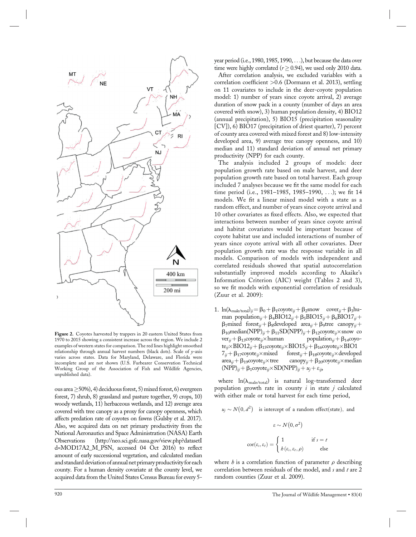

**Figure 2.** Coyotes harvested by trappers in 20 eastern United States from 1970 to 2015 showing a consistent increase across the region. We include 2 examples of western states for comparison. The red lines highlight smoothed relationship through annual harvest numbers (black dots). Scale of *y*-axis varies across states. Data for Maryland, Delaware, and Florida were incomplete and are not shown (U.S. Furbearer Conservation Technical Working Group of the Association of Fish and Wildlife Agencies, unpublished data).

ous area  $\geq$  50%), 4) deciduous forest, 5) mixed forest, 6) evergreen forest, 7) shrub, 8) grassland and pasture together, 9) crops, 10) woody wetlands, 11) herbaceous wetlands, and 12) average area covered with tree canopy as a proxy for canopy openness, which affects predation rate of coyotes on fawns (Gulsby et al. 2017). Also, we acquired data on net primary productivity from the National Aeronautics and Space Administration (NASA) Earth Observations (http://neo.sci.gsfc.nasa.gov/view.php?datasetI d=MOD17A2\_M\_PSN, accessed 04 Oct 2016) to reflect amount of early successional vegetation, and calculated median and standard deviation of annual net primary productivity for each county. For a human density covariate at the county level, we acquired data from the United States Census Bureau for every 5year period (i.e., 1980, 1985, 1990, ...), but because the data over time were highly correlated  $(r > 0.94)$ , we used only 2010 data.

After correlation analysis, we excluded variables with a correlation coefficient *>*0.6 (Dormann et al. 2013), settling on 11 covariates to include in the deer-coyote population model: 1) number of years since coyote arrival, 2) average duration of snow pack in a county (number of days an area covered with snow), 3) human population density, 4) BIO12 (annual precipitation), 5) BIO15 (precipitation seasonality [CV]), 6) BIO17 (precipitation of driest quarter), 7) percent of county area covered with mixed forest and 8) low-intensity developed area, 9) average tree canopy openness, and 10) median and 11) standard deviation of annual net primary productivity (NPP) for each county.

The analysis included 2 groups of models: deer population growth rate based on male harvest, and deer population growth rate based on total harvest. Each group included 7 analyses because we fit the same model for each time period (i.e., 1981–1985, 1985–1990, ...); we fit 14 models. We fit a linear mixed model with a state as a random effect, and number of years since coyote arrival and 10 other covariates as fixed effects. Also, we expected that interactions between number of years since coyote arrival and habitat covariates would be important because of coyote habitat use and included interactions of number of years since coyote arrival with all other covariates. Deer population growth rate was the response variable in all models. Comparison of models with independent and correlated residuals showed that spatial autocorrelation substantially improved models according to Akaike's Information Criterion (AIC) weight (Tables 2 and 3), so we fit models with exponential correlation of residuals (Zuur et al. 2009):

1. ln( $\lambda_{\text{male/total}}/i = \beta_0 + \beta_1 \text{covote}_{i} + \beta_2 \text{snow}$  cover<sub>ij</sub> +  $\beta_3$ human population<sub>ij</sub> +  $\beta_4BIO12_{ij} + \beta_5BIO15_{ij} + \beta_6BIO17_{ij} +$  $\beta_7$ mixed forest<sub>ij</sub> +  $\beta_8$ developed area<sub>ij</sub> +  $\beta_9$ tree canopy<sub>ij</sub> +  $\beta_{10}$ median(NPP)<sub>ij</sub> +  $\beta_{11}SD(NPP)_{ij} + \beta_{12}covote_{ij} \times$ snow co<br>ver<sub>ij</sub> +  $\beta_{13}covote_{ij} \times$ human population<sub>ij</sub> +  $\beta_{14}covoo$  $ver_{ij} + \beta_{13}covote_{ii} \times human$ te<sub>ij</sub>×BIO12<sub>ij</sub> +  $\beta_{15}$ coyote<sub>ij</sub>×BIO15<sub>ij</sub> +  $\beta_{16}$ coyote<sub>ij</sub>×BIO1<br>7<sub>ij</sub> +  $\beta_{17}$ coyote<sub>ij</sub>×mixed forest<sub>ij</sub> +  $\beta_{18}$ coyote<sub>ij</sub>×develope  $7_{ij} + \beta_{17} \text{covote}_{ij} \times \text{mixed}$  forest<sub>*ij*</sub> +  $\beta_{18} \text{covote}_{ij} \times \text{developed}$ <br>area<sub>*ij*</sub> +  $\beta_{19} \text{covote}_{ij} \times \text{tree}$  canopy<sub>*ij*</sub> +  $\beta_{20} \text{covote}_{ij} \times \text{median}$  $\text{canopy}_{ij} + \beta_{20} \text{coyote}_{ij} \times \text{median}$  $(NPP)_{ij}$  +  $\beta_1$ coyote<sub>ij</sub>×SD(NPP)<sub>ij</sub> +  $u_j$  +  $\varepsilon_{ij}$ ,

where  $ln(\lambda_{male/total})$  is natural log-transformed deer population growth rate in county *i* in state *j* calculated with either male or total harvest for each time period,

 $u_i \sim N(0, d^2)$  is intercept of a random effect (state), and

$$
\varepsilon \sim N\big(0, \sigma^2\big)
$$

$$
\text{cor}(\varepsilon_s, \varepsilon_t) = \begin{cases} 1 & \text{if } s = t \\ b(\varepsilon_s, \varepsilon_t, \rho) & \text{else} \end{cases}
$$

where  $h$  is a correlation function of parameter  $\rho$  describing correlation between residuals of the model, and *s* and *t* are 2 random counties (Zuur et al. 2009).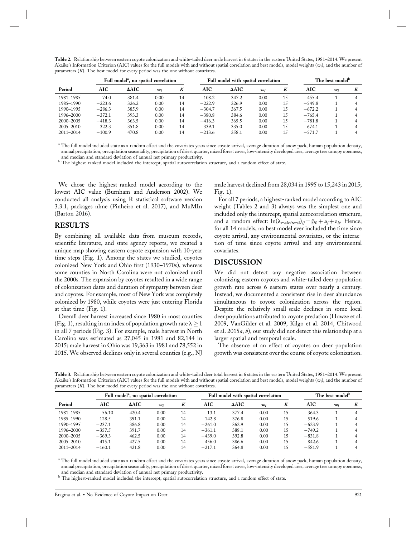**Table 2.** Relationship between eastern coyote colonization and white-tailed deer male harvest in 6 states in the eastern United States, 1981–2014. We present Akaike's Information Criterion (AIC) values for the full models with and without spatial correlation and best models, model weights (*wi*), and the number of parameters (*K*). The best model for every period was the one without covariates.

|               |          | Full model <sup>a</sup> , no spatial correlation |       |    |            | Full model with spatial correlation |       |    |            | The best model <sup>b</sup> |   |  |
|---------------|----------|--------------------------------------------------|-------|----|------------|-------------------------------------|-------|----|------------|-----------------------------|---|--|
| Period        | AIC      | $\Delta AIC$                                     | $w_i$ | K  | <b>AIC</b> | $\triangle$ AIC                     | $w_i$ | K  | <b>AIC</b> | $w_i$                       | K |  |
| 1981-1985     | $-74.0$  | 381.4                                            | 0.00  | 14 | $-108.2$   | 347.2                               | 0.00  | 15 | $-455.4$   |                             |   |  |
| 1985-1990     | $-223.6$ | 326.2                                            | 0.00  | 14 | $-222.9$   | 326.9                               | 0.00  | 15 | $-549.8$   |                             |   |  |
| 1990-1995     | $-286.3$ | 385.9                                            | 0.00  | 14 | $-304.7$   | 367.5                               | 0.00  | 15 | $-672.2$   |                             |   |  |
| 1996–2000     | $-372.1$ | 393.3                                            | 0.00  | 14 | $-380.8$   | 384.6                               | 0.00  | 15 | $-765.4$   |                             |   |  |
| $2000 - 2005$ | $-418.3$ | 363.5                                            | 0.00  | 14 | $-416.3$   | 365.5                               | 0.00  | 15 | $-781.8$   |                             |   |  |
| 2005-2010     | $-322.3$ | 351.8                                            | 0.00  | 14 | $-339.1$   | 335.0                               | 0.00  | 15 | $-674.1$   |                             |   |  |
| $2011 - 2014$ | $-100.9$ | 470.8                                            | 0.00  | 14 | $-213.6$   | 358.1                               | 0.00  | 15 | $-571.7$   |                             |   |  |

<sup>a</sup> The full model included state as a random effect and the covariates years since coyote arrival, average duration of snow pack, human population density, annual precipitation, precipitation seasonality, precipitation of driest quarter, mixed forest cover, low-intensity developed area, average tree canopy openness, and median and standard deviation of annual net primary productivity.

<sup>b</sup> The highest-ranked model included the intercept, spatial autocorrelation structure, and a random effect of state.

We chose the highest-ranked model according to the lowest AIC value (Burnham and Anderson 2002). We conducted all analysis using R statistical software version 3.3.1, packages nlme (Pinheiro et al. 2017), and MuMIn (Barton 2016).

#### **RESULTS**

By combining all available data from museum records, scientific literature, and state agency reports, we created a unique map showing eastern coyote expansion with 10-year time steps (Fig. 1). Among the states we studied, coyotes colonized New York and Ohio first (1930–1970s), whereas some counties in North Carolina were not colonized until the 2000s. The expansion by coyotes resulted in a wide range of colonization dates and duration of sympatry between deer and coyotes. For example, most of New York was completely colonized by 1980, while coyotes were just entering Florida at that time (Fig. 1).

Overall deer harvest increased since 1980 in most counties (Fig. 1), resulting in an index of population growth rate  $\lambda \ge 1$ in all 7 periods (Fig. 3). For example, male harvest in North Carolina was estimated as 27,045 in 1981 and 82,144 in 2015; male harvest in Ohio was 19,363 in 1981 and 78,552 in 2015. We observed declines only in several counties (e.g., NJ male harvest declined from 28,034 in 1995 to 15,243 in 2015; Fig. 1).

For all 7 periods, a highest-ranked model according to AIC weight (Tables 2 and 3) always was the simplest one and included only the intercept, spatial autocorrelation structure, and a random effect:  $\ln(\lambda_{\text{male/total}})_{ij} = \beta_0 + u_j + \varepsilon_{ij}$ . Hence, for all 14 models, no best model ever included the time since coyote arrival, any environmental covariates, or the interaction of time since coyote arrival and any environmental covariates.

#### **DISCUSSION**

We did not detect any negative association between colonizing eastern coyotes and white-tailed deer population growth rate across 6 eastern states over nearly a century. Instead, we documented a consistent rise in deer abundance simultaneous to coyote colonization across the region. Despite the relatively small-scale declines in some local deer populations attributed to coyote predation (Howze et al. 2009, VanGilder et al. 2009, Kilgo et al. 2014, Chitwood et al. 2015*a*, *b*), our study did not detect this relationship at a larger spatial and temporal scale.

The absence of an effect of coyotes on deer population growth was consistent over the course of coyote colonization.

**Table 3.** Relationship between eastern coyote colonization and white-tailed deer total harvest in 6 states in the eastern United States, 1981–2014. We present Akaike's Information Criterion (AIC) values for the full models with and without spatial correlation and best models, model weights (*wi*), and the number of parameters (*K*). The best model for every period was the one without covariates.

|               |          | Full model <sup>a</sup> , no spatial correlation |       |    |          | Full model with spatial correlation |      |    |            | The best model <sup>b</sup> |   |  |
|---------------|----------|--------------------------------------------------|-------|----|----------|-------------------------------------|------|----|------------|-----------------------------|---|--|
| Period        | AIC      | $\triangle AIC$                                  | $w_i$ | K  | AIC      | $\triangle$ AIC                     | w    | K  | <b>AIC</b> | w                           | K |  |
| 1981-1985     | 56.10    | 420.4                                            | 0.00  | 14 | 13.1     | 377.4                               | 0.00 | 15 | $-364.3$   |                             |   |  |
| 1985-1990     | $-128.5$ | 391.1                                            | 0.00  | 14 | $-142.8$ | 376.8                               | 0.00 | 15 | $-519.6$   |                             |   |  |
| 1990-1995     | $-237.1$ | 386.8                                            | 0.00  | 14 | $-261.0$ | 362.9                               | 0.00 | 15 | $-623.9$   |                             |   |  |
| 1996-2000     | $-357.5$ | 391.7                                            | 0.00  | 14 | $-361.1$ | 388.1                               | 0.00 | 15 | $-749.2$   |                             |   |  |
| $2000 - 2005$ | $-369.3$ | 462.5                                            | 0.00  | 14 | $-439.0$ | 392.8                               | 0.00 | 15 | $-831.8$   |                             |   |  |
| $2005 - 2010$ | $-415.1$ | 427.5                                            | 0.00  | 14 | $-456.0$ | 386.6                               | 0.00 | 15 | $-842.6$   |                             |   |  |
| $2011 - 2014$ | $-160.1$ | 421.8                                            | 0.00  | 14 | $-217.1$ | 364.8                               | 0.00 | 15 | $-581.9$   |                             |   |  |

<sup>a</sup> The full model included state as a random effect and the covariates years since coyote arrival, average duration of snow pack, human population density, annual precipitation, precipitation seasonality, precipitation of driest quarter, mixed forest cover, low-intensity developed area, average tree canopy openness, and median and standard deviation of annual net primary productivity.

<sup>b</sup> The highest-ranked model included the intercept, spatial autocorrelation structure, and a random effect of state.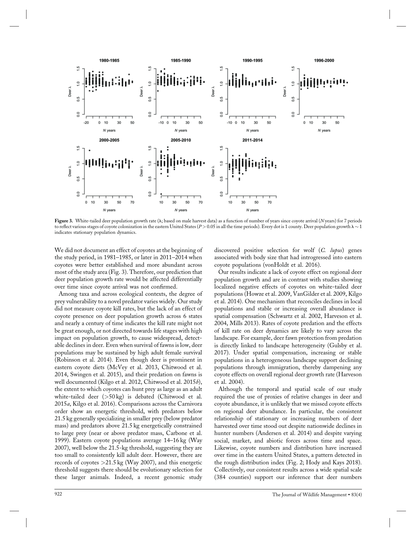

Figure 3. White-tailed deer population growth rate ( $\lambda$ ; based on male harvest data) as a function of number of years since coyote arrival (*N* years) for 7 periods to reflect various stages of coyote colonization in the eastern United States (*P* > 0.05 in all the time periods). Every dot is 1 county. Deer population growth  $\lambda \sim 1$ indicates stationary population dynamics.

We did not document an effect of coyotes at the beginning of the study period, in 1981–1985, or later in 2011–2014 when coyotes were better established and more abundant across most of the study area (Fig. 3). Therefore, our prediction that deer population growth rate would be affected differentially over time since coyote arrival was not confirmed.

Among taxa and across ecological contexts, the degree of prey vulnerability to a novel predator varies widely. Our study did not measure coyote kill rates, but the lack of an effect of coyote presence on deer population growth across 6 states and nearly a century of time indicates the kill rate might not be great enough, or not directed towards life stages with high impact on population growth, to cause widespread, detectable declines in deer. Even when survival of fawns is low, deer populations may be sustained by high adult female survival (Robinson et al. 2014). Even though deer is prominent in eastern coyote diets (McVey et al. 2013, Chitwood et al. 2014, Swingen et al. 2015), and their predation on fawns is well documented (Kilgo et al. 2012, Chitwood et al. 2015*b*), the extent to which coyotes can hunt prey as large as an adult white-tailed deer (*>*50 kg) is debated (Chitwood et al. 2015*a*, Kilgo et al. 2016). Comparisons across the Carnivora order show an energetic threshold, with predators below 21.5 kg generally specializing in smaller prey (below predator mass) and predators above 21.5 kg energetically constrained to large prey (near or above predator mass, Carbone et al. 1999). Eastern coyote populations average 14–16 kg (Way 2007), well below the 21.5-kg threshold, suggesting they are too small to consistently kill adult deer. However, there are records of coyotes *>*21.5 kg (Way 2007), and this energetic threshold suggests there should be evolutionary selection for these larger animals. Indeed, a recent genomic study

discovered positive selection for wolf (*C. lupus*) genes associated with body size that had introgressed into eastern coyote populations (vonHoldt et al. 2016).

Our results indicate a lack of coyote effect on regional deer population growth and are in contrast with studies showing localized negative effects of coyotes on white-tailed deer populations (Howze et al. 2009, VanGilder et al. 2009, Kilgo et al. 2014). One mechanism that reconciles declines in local populations and stable or increasing overall abundance is spatial compensation (Schwartz et al. 2002, Harveson et al. 2004, Mills 2013). Rates of coyote predation and the effects of kill rate on deer dynamics are likely to vary across the landscape. For example, deer fawn protection from predation is directly linked to landscape heterogeneity (Gulsby et al. 2017). Under spatial compensation, increasing or stable populations in a heterogeneous landscape support declining populations through immigration, thereby dampening any coyote effects on overall regional deer growth rate (Harveson et al. 2004).

Although the temporal and spatial scale of our study required the use of proxies of relative changes in deer and coyote abundance, it is unlikely that we missed coyote effects on regional deer abundance. In particular, the consistent relationship of stationary or increasing numbers of deer harvested over time stood out despite nationwide declines in hunter numbers (Andersen et al. 2014) and despite varying social, market, and abiotic forces across time and space. Likewise, coyote numbers and distribution have increased over time in the eastern United States, a pattern detected in the rough distribution index (Fig. 2; Hody and Kays 2018). Collectively, our consistent results across a wide spatial scale (384 counties) support our inference that deer numbers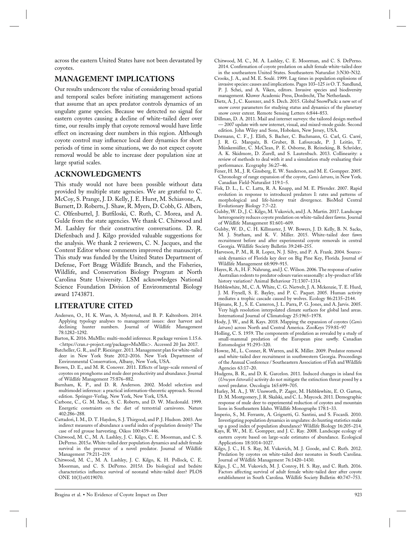across the eastern United States have not been devastated by coyotes.

## **MANAGEMENT IMPLICATIONS**

Our results underscore the value of considering broad spatial and temporal scales before initiating management actions that assume that an apex predator controls dynamics of an ungulate game species. Because we detected no signal for eastern coyotes causing a decline of white-tailed deer over time, our results imply that coyote removal would have little effect on increasing deer numbers in this region. Although coyote control may influence local deer dynamics for short periods of time in some situations, we do not expect coyote removal would be able to increase deer population size at large spatial scales.

## **ACKNOWLEDGMENTS**

This study would not have been possible without data provided by multiple state agencies. We are grateful to C. McCoy, S. Prange, J. D. Kelly, J. E. Hurst, M. Schiavone, A. Burnett, D. Roberts, J. Shaw, R. Myers, D. Cobb, G. Albers, C. Olfenbuttel, J. Butfiloski, C. Ruth, C. Morea, and A. Gulde from the state agencies. We thank C. Chitwood and M. Lashley for their constructive conversations. D. R. Diefenbach and J. Kilgo provided valuable suggestions for the analysis. We thank 2 reviewers, C. N. Jacques, and the Content Editor whose comments improved the manuscript. This study was funded by the United States Department of Defense, Fort Bragg Wildlife Branch, and the Fisheries, Wildlife, and Conservation Biology Program at North Carolina State University. LSM acknowledges National Science Foundation Division of Environmental Biology award 1743871.

# **LITERATURE CITED**

- Andersen, O., H. K. Wam, A. Mysterud, and B. P. Kaltenborn. 2014. Applying typology analyses to management issues: deer harvest and declining hunter numbers. Journal of Wildlife Management 78:1282–1292.
- Barton, K. 2016. MuMIn: multi-model inference. R package version 1.15.6. *<*https://cran.r-project.org/package=MuMIn*>*. Accessed 20 Jan 2017.
- Batcheller, G. R., and P. Riexinger. 2011. Management plan for white-tailed deer in New York State 2012–2016. New York Department of Environmental Conservation, Albany, New York, USA.
- Brown, D. E., and M. R. Conover. 2011. Effects of large-scale removal of coyotes on pronghorns and mule deer productivity and abundance. Journal of Wildlife Management 75:876–882.
- Burnham, K. P., and D. R. Anderson. 2002. Model selection and multimodel inference: a practical information-theoretic approach. Second edition. Springer-Verlag, New York, New York, USA.
- Carbone, C., G. M. Mace, S. C. Roberts, and D. W. Macdonald. 1999. Energetic constraints on the diet of terrestrial carnivores. Nature 402:286–288.
- Cattadori, I. M., D. T. Haydon, S. J. Thirgood, and P. J. Hudson. 2003. Are indirect measures of abundance a useful index of population density? The case of red grouse harvesting. Oikos 100:439–446.
- Chitwood, M. C., M. A. Lashley, J. C. Kilgo, C. E. Moorman, and C. S. DePerno. 2015*a*. White-tailed deer population dynamics and adult female survival in the presence of a novel predator. Journal of Wildlife Management 79:211–219.
- Chitwood, M. C., M. A. Lashley, J. C. Kilgo, K. H. Pollock, C. E. Moorman, and C. S. DePerno. 2015*b*. Do biological and bedsite characteristics influence survival of neonatal white-tailed deer? PLOS ONE 10(3):e0119070.
- Chitwood, M. C., M. A. Lashley, C. E. Moorman, and C. S. DePerno. 2014. Confirmation of coyote predation on adult female white-tailed deer in the southeastern United States. Southeastern Naturalist 3:N30–N32.
- Crooks, J. A., and M. E. Soulé. 1999. Lag times in population explosions of invasive species: causes and implications. Pages 103–125 *in* O. T. Sandlund, P. J. Schei, and A. Viken, editors. Invasive species and biodiversity management. Kluwer Academic Press, Dordrecht, The Netherlands.
- Dietz, A. J., C. Kuenzer, and S. Dech. 2015. Global SnowPack: a new set of snow cover parameters for studying status and dynamics of the planetary snow cover extent. Remote Sensing Letters 6:844–853.
- Dillman, D. A. 2011. Mail and internet surveys: the tailored design method — 2007 update with new internet, visual, and mixed-mode guide. Second edition. John Wiley and Sons, Hoboken, New Jersey, USA.
- Dormann, C. F., J. Elith, S. Bacher, C. Buchmann, G. Carl, G. Carré, J. R. G. Marquéz, B. Gruber, B. Lafourcade, P. J. Leitão, T. Münkemüller, C. McClean, P. E. Osborne, B. Reineking, B. Schröder, A. K. Skidmore, D. Zurell, and S. Lautenbach. 2013. Collinearity: a review of methods to deal with it and a simulation study evaluating their performance. Ecography 36:27–46.
- Fener, H. M., J. R. Ginsberg, E. W. Sanderson, and M. E. Gompper. 2005. Chronology of range expansion of the coyote, *Canis latrans*, in New York. Canadian Field-Naturalist 119:1–5.
- Fisk, D. L., L. C. Latta, R. A. Knapp, and M. E. Pfrender. 2007. Rapid evolution in response to introduced predators I: rates and patterns of morphological and life-history trait divergence. BioMed Central Evolutionary Biology 7:7–22.
- Gulsby, W. D., J. C. Kilgo, M. Vukovich, and J. A. Martin. 2017. Landscape heterogeneity reduces coyote predation on white-tailed deer fawns. Journal of Wildlife Management 81:601–609.
- Gulsby, W. D., C. H. Killmaster, J. W. Bowers, J. D. Kelly, B. N. Sacks, M. J. Statham, and K. V. Miller. 2015. White-tailed deer fawn recruitment before and after experimental coyote removals in central Georgia. Wildlife Society Bulletin 39:248–255.
- Harveson, P. M., R. R. Lopez, N. J. Silvy, and P. A. Frank. 2004. Sourcesink dynamics of Florida key deer on Big Pine Key, Florida. Journal of Wildlife Management 68:909–915.
- Hayes, R. A., H. F. Nahrung, and J. C. Wilson. 2006. The response of native Australian rodents to predator odours varies seasonally: a by-product of life history variation? Animal Behaviour 71:1307–1314.
- Hebblewhite, M., C. A. White, C. G. Nietvelt, J. A. Mckenzie, T. E. Hurd, J. M. Fryxell, S. E. Bayley, and P. C. Paquet. 2005. Human activity mediates a trophic cascade caused by wolves. Ecology 86:2135–2144.
- Hijmans, R. J., S. E. Cameron, J. L. Parra, P. G. Jones, and A. Jarvis. 2005. Very high resolution interpolated climate surfaces for global land areas. International Journal of Climatology 25:1965–1978.
- Hody, J. W., and R. Kays. 2018. Mapping the expansion of coyotes (*Canis latrans*) across North and Central America. ZooKeys 759:81–97
- Holling, C. S. 1959. The components of predation as revealed by a study of small-mammal predation of the European pine sawfly. Canadian Entomologist 91:293–320.
- Howze, M., L. Conner, R. Warren, and K. Miller. 2009. Predator removal and white-tailed deer recruitment in southwestern Georgia. Proceedings of the Annual Conference / Southeastern Association of Fish and Wildlife Agencies 63:17–20.
- Hudgens, B. R., and D. K. Garcelon. 2011. Induced changes in island fox (*Urocyon littoralis*) activity do not mitigate the extinction threat posed by a novel predator. Oecologia 165:699–705.
- Hurley, M. A., J. W. Unsworth, P. Zager, M. Hebblewhite, E. O. Garton, D. M. Montgomery, J. R. Skalski, and C. L. Maycock. 2011. Demographic response of mule deer to experimental reduction of coyotes and mountain lions in Southeastern Idaho. Wildlife Monographs 178:1–33.
- Imperio, S., M. Ferrante, A. Grignetti, G. Santini, and S. Focardi. 2010. Investigating population dynamics in ungulates: do hunting statistics make up a good index of population abundance? Wildlife Biology 16:205–214.
- Kays, R. W., M. E. Gompper, and J. C. Ray. 2008. Landscape ecology of eastern coyote based on large-scale estimates of abundance. Ecological Applications 18:1014–1027.
- Kilgo, J. C., H. S. Ray, M. Vukovich, M. J. Goode, and C. Ruth. 2012. Predation by coyotes on white-tailed deer neonates in South Carolina. Journal of Wildlife Management 76:1420–1430.
- Kilgo, J. C., M. Vukovich, M. J. Conroy, H. S. Ray, and C. Ruth. 2016. Factors affecting survival of adult female white-tailed deer after coyote establishment in South Carolina. Wildlife Society Bulletin 40:747–753.